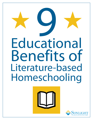# **O** Educational Benefits of Literature-based Homeschooling



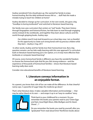Audrey wondered if she should give up. She wanted her family to enjoy homeschooling. But the daily textbook lessons felt so … dull! Had she made a mistake trying to teach her children at home?

Audrey decided to change up her curriculum. In her own words, she gave a big "Goodbye to boring textbooks!!" and switched to literature-based learning.

Her family now uses curriculum that centers on "real" books. They learn history through biographies and historical fiction, her kids learn to read through engaging stories instead of dry workbooks, and together they learn about cultures and the world through gripping books. Audrey says:

*Our children (and I!) truly look forward to our school days now. I am so thankful for this opportunity to create such strong bonds with my precious children while they learn. –Audrey Z, Aug. 2011*

 In other words, Audrey and her family love their homeschool now. But a big question remains: are her kids really learning with this new approach? Is curriculum built on literature-based learning just a *fun* option, or is it truly more effective than textbooks or computer-based learning?

Of course, every homeschool family is different; you have the wonderful freedom to choose the homeschool style that fits you. But strong evidence—and the experience of thousands of homeschool families—shows that literature-based learning really does work.

Consider nine educational benefits of literature-based learning.

#### **1. Literature conveys information in an enjoyable format.**

As a parent, you know that a bit of fun can make all the difference. As that cheerful nanny says, "a spoonful of sugar helps the medicine go down."

That's what literature does. It takes valuable information and knowledge — that may be rather bland on its own — and wraps it up in an "easy-to-swallow" story.



Think back to your childhood for a moment. Do you remember the books your parents read to you? *Green Eggs and Ham, Good Night Moon, Mike Mulligan and His Steam Shovel* ... ?

Do you remember the books you read by yourself, after you "graduated" from read-aloud time? Nonfiction books about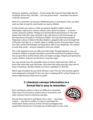dinosaurs, airplanes, and horses ... Fiction books like *Frog and Toad, Make Way for Ducklings, Homer Price, Old Yeller* ... Can you picture them ... remember the stories ... recall the characters?

Most of us remember our favorite childhood books in vivid detail. In fact, we often want our kids to read the same books we read as children.

In those books you read as a child, you gained valuable insights, practical information, exposure to various cultures, and a desire to acquire — or avoid certain character qualities. Perhaps you learned about perseverance in *The Little Engine that Could*, the value of family in the *Little House on the Prairie* books, or the importance of loyalty in *The Boxcar Children*. You may have learned about Polynesian culture in *Island of the Blue Dolphins*, grappled with racism through *Roll of Thunder, Hear My Cry*, or "visited" Japan in *Sadako and the Thousand Paper Cranes*. You had a world of knowledge and experience right at your fingertips. You wanted to enter that world ... and you enjoyed it when you visited.

This is the experience you can offer your kids today. Through literature, you can introduce children to people and places around the world and throughout history. You can give them worthy heroes who can inspire courage, integrity and generosity in your children. And you can do this in a way kids enjoy.

You may wonder how the enjoyable nature of stories helps kids learn. Well, we know that when kids read, they learn. And when kids enjoy learning, they want to keep on learning. Literature-based curriculum capitalizes on that fact.

Which type of student do you think will learn more? The one who protests against each assignment and book? Or the one who is sneaking off his "school" books to reread at night because they're just so good?

#### **2. Literature conveys information in a format that is easy to remember.**

Facts and figures without context are difficult to remember. That's why a lot of memory systems rely on mnemonics and other memory tricks to memorize raw data.

But put those same facts and figures into a story — give them context — and all of a sudden, it's easy to remember the information! Stories serve as anchors for facts and figures that would otherwise be lost in the great sea of information in your mind.

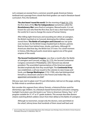Let's compare an excerpt from a common seventh grade American history textbook and a passage from a book that third-graders can read in literature-based curriculum. First, the textbook:

*The shot heard 'round the world*. On the morning of April 19, 1775, the first shots of the **War for Independence** (sometimes called the *Revolutionary War*) were fired at Lexington, Massachusetts. It is not known for sure who fired the first shot, but it was a shot heard 'round the world, for it was to change the course of human history.

After killing eight Americans and wounding ten others at Lexington, the British marched on to Concord, destroying the military supplies stored there. **The Battle of Lexington and Concord** was not quite over, however. As the British troops headed back to Boston, patriots fired on them from behind trees, shrubs, and barns. Although 93 Americans died that day, the British lost 273 men. For a brief moment in history, little Massachusetts stood alone against one of the great empires of the world.

*The Second Continental Congress*. Less than a month after the Battle of Lexington and Concord, on May 10, 1775, the Second Continental Congress convened in Philadelphia. John Hancock was elected president. The assembled representatives of the American people decided emphatically that they would fight. The *Continental Army* was established, a call was issued to the colonies to raise troops and funds, and **George Washington** (1732-1799), who had distinguished himself as a lieutenant colonel in the French and Indian War, was appointed commander-in-chief.<sup>1</sup>

Did your eyes start to glaze over? It's just information, laid out on the page, waiting for little minds to somehow absorb it.

But consider this segment from *Johnny Tremain*, a historical fiction work for elementary-age children. As a literature-based homeschool curriculum company, Sonlight Curriculum uses this book in our "Intro to American History, Year 1 of 2" program suitable for 3<sup>rd</sup>, 4<sup>th</sup> or 5<sup>th</sup> grade students. This excerpt describes Boston citizens watching British soldiers return from their defeat at the Battle of Lexington:

Although no townsmen, except only the doctors, were permitted on the wharf, Johnny knew that hundreds of them stood well back and

<sup>1</sup> Jerry H. Combee, Ph.D., Kurt Grussendorf, Beka Horton, Brian Ashbaugh, Susan Etheridge, *History of the World in Christian Perspective*, Third Edition (Pensacola, FL: A Beka Book, 1995), 310.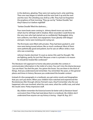in the darkness, gloating. They were not saying much, only watching. Then one man began to whistle and the next took it up and the next and the next. The whistling was shrill as a fife. They had not forgotten the prophecy of that morning, 'They go out by "Yankee Doodle," but they'll dance to it before nightfall!'

'Yankee Doodle' filled the darkness....

Four more boats were coming in. Johnny dared move out onto the wharf, but he still kept well in shadow. More wounded. Could these be the very men who had started out so confidently? Bedraggled, dirty, torn uniforms, torn flesh, lost equipment. Faces ghastly with fatigue and pain. Some were twisting and crying out.

The first boats were filled with privates. They had been packed in, and now were being tossed ashore, like so much cordwood. Most of them were pathetically good and patient, but he saw an officer strike a man who was screaming.

Johnny's hands clenched. 'It is just as James Otis said,' he thought. 'We are fighting, partly, for just that. Because a man is a private is no reason he should be treated like cordwood.'2

The literature-rich approach to home education provides the context; it communicates information in the midst of a story. You can't miss the drama because "you are there." You feel the pain. You grieve the losses. You are there in the thick of things. And you understand and remember. You remember the years, or the general places and times in history. Because you understand the broader context.

Instead of a few paragraphs in a textbook, you get entire novels and biographies that you can't put down. When your children have watched and experienced the Revolutionary War through Johnny Tremain's eyes, they'll remember why the war happened, who was involved, what the costs were, what the conflict was, and what the results were. Pretty impressive stuff.

*My children remember the historical events far better with [a literature-based curriculum] than if they had read about them in a textbook. My children don't understand how anyone can say history is boring. –Steph W, Aug. 2011*

<sup>2</sup> Esther Forbes, *Johnny Tremain* (New York: Dell Publishing 1943), 240-241. Sonlight item [#DA04](http://www.sonlight.com/DA04.html).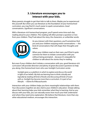### **3. Literature encourages you to interact with your kids.**

Many parents struggle to get their kids to talk to them. Maybe you've experienced this yourself. But when you use literature as the foundation of your homeschool curriculum, you may find it's much easier to spark conversations. *Good* conversations. *Significant* conversations.

With a literature-rich homeschool program, you'll spend some time each day reading aloud to your children. This reading will often prompt a question or two from your children. They'll ask about the story, the characters, or unfamiliar words.



As you interact with their questions, you'll sometimes find you and your children enjoying entire conversations — the kind of conversations that will shape their thoughts and values.

When your children read on their own, you'll find it quite common for them to initiate conversation with you without being prompted ... because it's enjoyable for children to talk about the stories they're reading.

But even if your children don't initiate a conversation with you, good literature-rich curriculum will provide direction and plenty of great discussion questions to help you along. One homeschool mom who uses Sonlight Curriculum wrote:

*Sonlight gives us a platform in which to explore and discuss the world in light of our beliefs. My kids are learning how to think critically and logically by reading all kinds of books and discussing all kinds of issues with us. Sonlight has become more than a curriculum. It is part of our lifestyle. —Elaine B of Massachusetts*

Interaction with your children helps you form meaningful relationships with them. Your discussions together are also vital to your children's education. Simply talking about their learning helps your kids remember what they're learning. And as you discuss with your kids, you can naturally assess how much your kids understand and where they need extra explanation. We believe that literature, more than any other educational medium, encourages this interaction.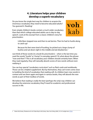# **4. Literature helps your children develop a superb vocabulary**

Do you know the single best way for children to acquire the enormous vocabulary they need to become educated adults? You guessed it. Reading!

Even simple children's books contain a much wider vocabulary than that which college educated adults use in day-to-day speech. Look at this excerpt from a classic children's story for preschoolers:



Little Bear stopped now and then to eat berries. Then he had to hustle along to catch up!

Because his feet were tired of hustling, he picked out a large clump of bushes and sat down right in the middle and ate blueberries.<sup>3</sup>

Just think of those words (in a book for *preschoolers*) – when is the last time you used the words "hustle" or "clump" in everyday speech? Or what about the phrase "now and then"? This is all vocabulary your children should certainly learn. When they read regularly, they will naturally absorb scores of new words without even realizing it.

You can buy special "vocabulary curriculum" such as flash cards and workbooks. Those can be a helpful supplement. But by themselves, they can't even come close to building the kind of vocabulary that reading will. As children learn new words in context and see them again and again in various books, they will absorb the new words as part of their toolbox of words.

We believe that reading is really the best (perhaps the only) way children can develop the extensive vocabulary they'll need for academic and professional success in life.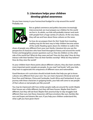### **5. Literature helps your children develop global awareness**

Do you have money in your homeschool budget for a trip around the world? Probably not.



But as global commerce and politics becomes increasingly interconnected, we must prepare our children for the world we live in. As adults, our kids will probably interact and work with people from a huge variety of cultures. At the very least, they will see and hear about these cultures on the news.

So how do we prepare them for this? Aside from traveling, reading may be the best way to help children become aware of the world. Reading opens doors for children to walk in the

shoes of people very different from your own family. Literature lets you see the perspective of characters who have lived throughout history and around the world. Fiction and biographies answer questions such as: How do children on the other side of the world live? What do they wear and eat? How do they play? How do they interact with their families? How do their families worship? What do they believe? How do they view the world?

As your children learn these points about different cultures, they also learn another, more important point: people are people. As you read "real books" with your kids, they learn to appreciate the uniqueness of different races and nationalities.

Good literature-rich curriculum should include books that help you get to know cultures very different from your own. You can meet characters (fictional and real) from Peru and Pakistan, China and Cambodia, South Africa and Switzerland. As you journey with these characters in gripping books, your kids will come to see people of that culture as real people, just like yourself.

You may be impressed with how similar people really are around the world. Maybe their houses are a little different, but they still have houses. Maybe their food is different, but they still eat food. Maybe their practical day-to-day struggles look different than ours, but these characters still have emotions like ours, families like ours and hopes and dreams like ours. If you help your children understand this, what a gift you have given them!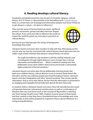# **6. Reading develops cultural literacy**

Vocabulary and global awareness may be part of a broader category: cultural literacy. As E. D. Hirsch, Jr. demonstrates in his bestselling work, *[Cultural Literacy](http://www.sonlight.com/RR106.html)*, there is a certain basic set of background information people must know if they are to get along in a culture—let alone to influence it.

They must be aware of the key historical events, significant persons, movements, groups and ideas that have shaped the culture. If you want your kids to influence the world, to impact the world for good, you must place a premium on cultural literacy.



But how do you help kids gain the variety of background knowledge they need?

Literature-based curriculum does wonders to help with that. After laying out the case for why we must be concerned with cultural literacy, Hirsch discusses how we might create school materials that advance cultural literacy. He writes:

*The single most effective step would be to shift the reading materials used in kindergarten through eighth grade to a much stronger base in factual information and traditional lore. … What is needed are reading texts that deliberately convey what children need to know and include a substantially higher proportion of factual narratives.*<sup>4</sup>

Literature-based curriculum does this by deliberately choosing books that teach your children history, cultural allusions (such as ancient Greek heroes like Hercules), and the way ordinary people have lived throughout history. Literaturebased curriculum biographies and other "factual narratives" that convey specific information. And as we've seen above, the fact that this information is presented in an engaging and enjoyable format helps kids absorb the facts they read.

As students follow a literature-based curriculum, they will naturally become aware of important historical, cultural and societal events, as well as crucial aspects of literature that one must know (such as the concept of "Big brother is watching you" from George Orwell's novel *1984*). Students must be aware of these books and their content so that they have a foundational base of knowledge and, more importantly, so they will be prepared to respond to these cultural influences in a strong and godly fashion.

<sup>4</sup> E. D. Hirsch, Jr., *Cultural Literacy*. (New York: Random House, Inc. 1988), 140. Sonlight item [#RR106.](http://www.sonlight.com/RR106.html)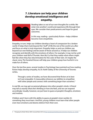## **7. Literature can help your children develop emotional intelligence and empathy.**



Reading takes us out of our own thoughts for a while. We enter into another's world and experience life through their eyes. We consider their predicaments and hope for good outcomes.

In this way, reading—particularly fiction—helps children become more empathetic.

Empathy, in turn, helps our children develop a heart of compassion for a broken world. It helps them look beyond the "stuff" of life the rest of the world runs after and focus on what is truly important. Empathy helps us and our children see beyond our own feelings and be aware of those around us. It helps our children recognize and identify with the emotions of others. For example, it may not be until your children read *Roll of Thunder, Hear My Cry* that they realize what others might feel like when they face discrimination for the color of their skin. Or maybe the classic story *The Hundred Dresses* will help your children grasp how hurtful it is to make fun of others.

Over the last few years, several studies in Psychology have pointed out how reading fiction helps develop empathy. As Dr. Keith Oatley of the University of Toronto writes,

Through a series of studies, we have discovered that fiction at its best isn't just enjoyable. It measurably enhances our abilities to empathize with other people and connect with something larger than ourselves.<sup>5</sup>

In real life, we may get occasional glimpses into other people's minds. A friend may tell us exactly what she's thinking or how she feels, and we can respond accordingly. Usually, however, we just have to guess at people's thoughts, emotions and motives.

Children aren't born with this ability to guess at people's inner worlds; it's something they must learn. And first, young children must learn that other people even *have* emotions and desires distinct from their own.

5 "Changing Our Minds," Winter 2009. Accessed March 2012 at [http://greatergood.berkeley.edu/article/item/chaning\\_our\\_minds/](http://greatergood.berkeley.edu/article/item/chaning_our_minds/)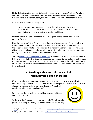Fiction helps teach this because it gives a free pass into other people's minds. We might see how a character feels when someone makes fun of her (as in *The Hundred Dresses*), how she reacts to a scary situation, and how she shows her family that she loves them.

What a valuable resource! Oatley writes:

We set aside our own plans and concerns for a while as we take up our book; we then take on the plans and concerns of a fictional character, and empathetically imagine what that character might feel.<sup>6</sup>

Fiction helps us imagine what others are thinking and feeling and trains us to feel empathy for others.

How does it do that? Since "novels can be thought of as simulations of how people react to combinations of social forces," reading them helps us "construct a mental model of the person to know what's going on inside their heads."7 In other words, reading helps children guess and understand what others are feeling; it helps them grow in emotional intelligence. This ability seems to transfer over into real life.

You can [read more about Oatley's studies here](http://greatergood.berkeley.edu/article/item/chaning_our_minds/). But whether or not you know the science behind it, know that with a literature-based curriculum, your times reading together serve multiple purposes at once. You're not just learning history, geography and culture. You're also giving your children lessons in empathy and emotional intelligence. That seems like time well spent!

#### **8. Reading with your children can help them develop good character**

Most homeschool parents not only want their children to receive a great academic education, they also want their children to become good people. They want to raise their children to be people of integrity and character. After all, what good is knowledge without character?

So then, how should we help our children develop righteous and godly character?

We believe that "character is caught, not taught." People develop good character by observing the behavior of others whom they



<sup>6</sup> The Psychology of Fiction," September 2011. Accessed March 2012 at [http://www.psychologytoday.com/blog/the-psychology-fiction/201109/narrative](http://www.psychologytoday.com/blog/the-psychology-fiction/201109/narrative-empathy)[empathy](http://www.psychologytoday.com/blog/the-psychology-fiction/201109/narrative-empathy)

7 "Changing Our Minds," Winter 2009. Accessed March 2012 at [http://greatergood.berkeley.edu/article/item/chaning\\_our\\_minds/](http://greatergood.berkeley.edu/article/item/chaning_our_minds/)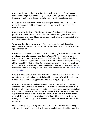respect and by letting the truths of the Bible sink into their life. Good character comes not during structured morality lessons, but through addressing issues as they arise in real life and discussing tricky questions with people you trust.

Children can also form character by meditating on and talking about the lives, moral dilemmas and ethical (or unethical) behavior of believable characters in realistic stories.

In order to provide plenty of fodder for this kind of meditation and discussion, good literature-rich curriculum includes books whose protagonists confront realistic ethical and moral dilemmas, work through them and overcome in the end to make righteous decisions.

We are convinced that the presence of true conflict and struggle in quality literature makes their moral or character-oriented "lessons" not only believable, but applicable as well.

In contrast, one homeschool mom, Jill, tells about trying to teach morality through simplistic moral tales such as "Never Tease a Weasel." Her children listened to the tales, but saw through the thin veneer and didn't apply the morals to their lives. Sure, they learned why you shouldn't tease a weasel, and that ducklings must obey at the first call from their mother. But the tales were contrived and abstract. They didn't translate into real life and help Jill's children understand that they shouldn't tease each other, or that they should listen when Mom called. You can [read more of](http://www.sonlight.com/blog/2011/10/catching-character.html)  [Jill's frustration here.](http://www.sonlight.com/blog/2011/10/catching-character.html)

If moral tales don't really work, why do "real books" do the trick? Because kids pay attention to believable characters in believable situations. When kids read about someone who honestly struggled and came out on top, they perk up.

Kids often view courageous characters as heroes. And we believe that helping children find true heroes to emulate will help them develop their character more fully than will simply memorizing facts about character traits. Moreover, we believe that when children read of real people (or believable fiction characters) who face significant challenges, remain faithful to God and overcome their circumstances, they will develop heroes worth imitating. Children will be inspired to live with courage and faithfulness, just like their heroes, and character will grow out of this inspiration.

Plus, literature gives you many opportunities to discuss character and morality with your children. If you're reading the quality books included in a literature-rich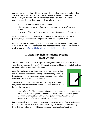curriculum, your children will learn to enjoy them and be eager to talk about them. You'll be able to discuss characters they admire (like brave and compassionate missionaries, or children who overcome great obstacles). As you read these compelling stories together, you can ask questions such as:

- • *What would you have done in this situation?*
- • *What kind of consequences do you think could come with this character's actions?*
- • *How do you think this character showed bravery (or kindness, or honesty, etc.)?*

When children see good character in books and honestly discuss it with their parents, they gain inspiration and practical know-how to grow in virtue.

(And in case you're wondering, Jill didn't stick with the moral tales for long. She discovered the power of reading real books as fodder for discussions on character. Click to read about [five of Jill's favorite "real books" that teach character.](http://www.sonlight.com/blog/2011/10/never-tease-a-weasel-character-training-part-two.html))

#### **9. Literature helps students become great writers**

The best writers read … a lot. Any good writing course will teach you this. Before your children become the next Mark Twain, they must first learn to imitate the style, flow and cadence of established writers.

Even if your children don't hope to write stunning novels, they will still need to learn to write clearly and winsomely. Reading is the best way to help your mind absorb the grammar, syntax, vocabulary and rhythm of good writing.

Your children can't stick to comic books and dry textbooks if they are to learn how to communicate well. Consider what one home educator wrote:



*I have a BA in English, emphasis on Literature. I teach writing/composition to our local homeschool co-op. Do you know what I have found? Without exception, the best writers have been kids who read quality books! The kids who use textbooks just don't get it. –Sarah M. in MI, June 2010*

Perhaps your children can learn to write without reading widely. But why give them that extra burden? You can train their ear to recognize and imitate good writing from their earliest days of cuddling on the couch reading aloud together.